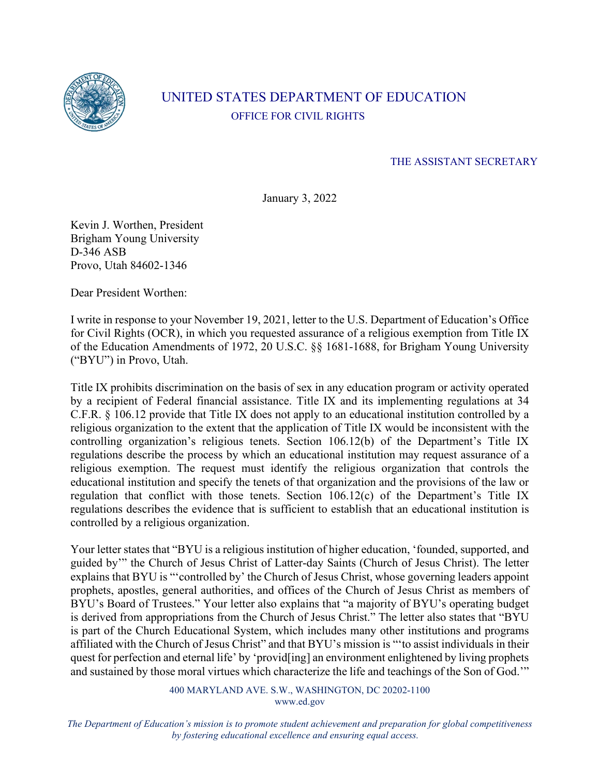

## UNITED STATES DEPARTMENT OF EDUCATION OFFICE FOR CIVIL RIGHTS

## THE ASSISTANT SECRETARY

January 3, 2022

Kevin J. Worthen, President Brigham Young University D-346 ASB Provo, Utah 84602-1346

Dear President Worthen:

I write in response to your November 19, 2021, letter to the U.S. Department of Education's Office for Civil Rights (OCR), in which you requested assurance of a religious exemption from Title IX of the Education Amendments of 1972, 20 U.S.C. §§ 1681-1688, for Brigham Young University ("BYU") in Provo, Utah.

Title IX prohibits discrimination on the basis of sex in any education program or activity operated by a recipient of Federal financial assistance. Title IX and its implementing regulations at 34 C.F.R. § 106.12 provide that Title IX does not apply to an educational institution controlled by a religious organization to the extent that the application of Title IX would be inconsistent with the controlling organization's religious tenets. Section 106.12(b) of the Department's Title IX regulations describe the process by which an educational institution may request assurance of a religious exemption. The request must identify the religious organization that controls the educational institution and specify the tenets of that organization and the provisions of the law or regulation that conflict with those tenets. Section 106.12(c) of the Department's Title IX regulations describes the evidence that is sufficient to establish that an educational institution is controlled by a religious organization.

Your letter states that "BYU is a religious institution of higher education, 'founded, supported, and guided by'" the Church of Jesus Christ of Latter-day Saints (Church of Jesus Christ). The letter explains that BYU is "'controlled by' the Church of Jesus Christ, whose governing leaders appoint prophets, apostles, general authorities, and offices of the Church of Jesus Christ as members of BYU's Board of Trustees." Your letter also explains that "a majority of BYU's operating budget is derived from appropriations from the Church of Jesus Christ." The letter also states that "BYU is part of the Church Educational System, which includes many other institutions and programs affiliated with the Church of Jesus Christ" and that BYU's mission is "'to assist individuals in their quest for perfection and eternal life' by 'provid[ing] an environment enlightened by living prophets and sustained by those moral virtues which characterize the life and teachings of the Son of God.'"

> 400 MARYLAND AVE. S.W., WASHINGTON, DC 20202-1100 www.ed.gov

*The Department of Education's mission is to promote student achievement and preparation for global competitiveness by fostering educational excellence and ensuring equal access.*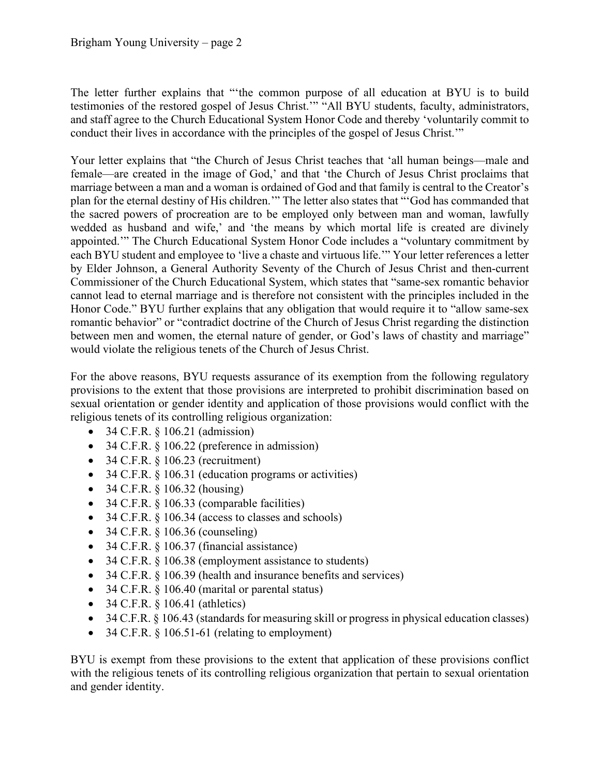The letter further explains that "'the common purpose of all education at BYU is to build testimonies of the restored gospel of Jesus Christ.'" "All BYU students, faculty, administrators, and staff agree to the Church Educational System Honor Code and thereby 'voluntarily commit to conduct their lives in accordance with the principles of the gospel of Jesus Christ.'"

Your letter explains that "the Church of Jesus Christ teaches that 'all human beings—male and female—are created in the image of God,' and that 'the Church of Jesus Christ proclaims that marriage between a man and a woman is ordained of God and that family is central to the Creator's plan for the eternal destiny of His children.'" The letter also states that "'God has commanded that the sacred powers of procreation are to be employed only between man and woman, lawfully wedded as husband and wife,' and 'the means by which mortal life is created are divinely appointed.'" The Church Educational System Honor Code includes a "voluntary commitment by each BYU student and employee to 'live a chaste and virtuous life.'" Your letter references a letter by Elder Johnson, a General Authority Seventy of the Church of Jesus Christ and then-current Commissioner of the Church Educational System, which states that "same-sex romantic behavior cannot lead to eternal marriage and is therefore not consistent with the principles included in the Honor Code." BYU further explains that any obligation that would require it to "allow same-sex romantic behavior" or "contradict doctrine of the Church of Jesus Christ regarding the distinction between men and women, the eternal nature of gender, or God's laws of chastity and marriage" would violate the religious tenets of the Church of Jesus Christ.

For the above reasons, BYU requests assurance of its exemption from the following regulatory provisions to the extent that those provisions are interpreted to prohibit discrimination based on sexual orientation or gender identity and application of those provisions would conflict with the religious tenets of its controlling religious organization:

- 34 C.F.R. § 106.21 (admission)
- 34 C.F.R. § 106.22 (preference in admission)
- 34 C.F.R.  $§ 106.23$  (recruitment)
- 34 C.F.R. § 106.31 (education programs or activities)
- 34 C.F.R. § 106.32 (housing)
- 34 C.F.R. § 106.33 (comparable facilities)
- 34 C.F.R. § 106.34 (access to classes and schools)
- 34 C.F.R.  $\S$  106.36 (counseling)
- 34 C.F.R.  $§$  106.37 (financial assistance)
- 34 C.F.R. § 106.38 (employment assistance to students)
- 34 C.F.R. § 106.39 (health and insurance benefits and services)
- 34 C.F.R. § 106.40 (marital or parental status)
- 34 C.F.R.  $§$  106.41 (athletics)
- 34 C.F.R. § 106.43 (standards for measuring skill or progress in physical education classes)
- 34 C.F.R.  $\S$  106.51-61 (relating to employment)

BYU is exempt from these provisions to the extent that application of these provisions conflict with the religious tenets of its controlling religious organization that pertain to sexual orientation and gender identity.